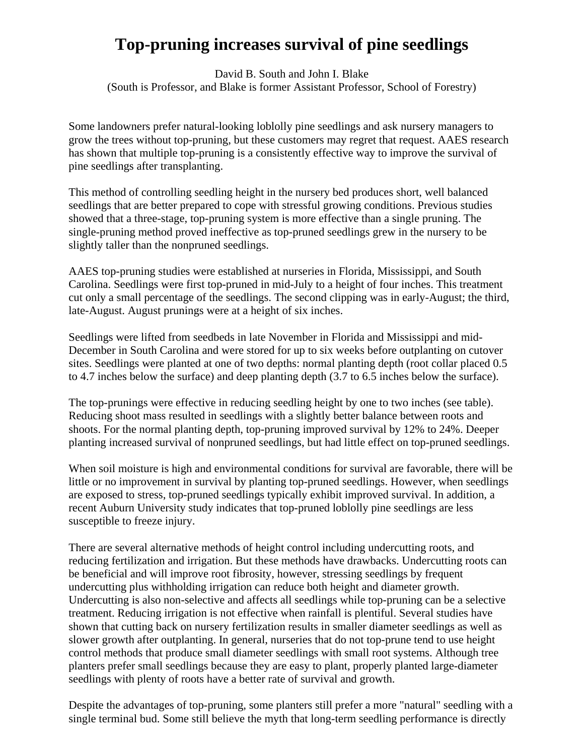## **Top-pruning increases survival of pine seedlings**

David B. South and John I. Blake (South is Professor, and Blake is former Assistant Professor, School of Forestry)

Some landowners prefer natural-looking loblolly pine seedlings and ask nursery managers to grow the trees without top-pruning, but these customers may regret that request. AAES research has shown that multiple top-pruning is a consistently effective way to improve the survival of pine seedlings after transplanting.

This method of controlling seedling height in the nursery bed produces short, well balanced seedlings that are better prepared to cope with stressful growing conditions. Previous studies showed that a three-stage, top-pruning system is more effective than a single pruning. The single-pruning method proved ineffective as top-pruned seedlings grew in the nursery to be slightly taller than the nonpruned seedlings.

AAES top-pruning studies were established at nurseries in Florida, Mississippi, and South Carolina. Seedlings were first top-pruned in mid-July to a height of four inches. This treatment cut only a small percentage of the seedlings. The second clipping was in early-August; the third, late-August. August prunings were at a height of six inches.

Seedlings were lifted from seedbeds in late November in Florida and Mississippi and mid-December in South Carolina and were stored for up to six weeks before outplanting on cutover sites. Seedlings were planted at one of two depths: normal planting depth (root collar placed 0.5 to 4.7 inches below the surface) and deep planting depth (3.7 to 6.5 inches below the surface).

The top-prunings were effective in reducing seedling height by one to two inches (see table). Reducing shoot mass resulted in seedlings with a slightly better balance between roots and shoots. For the normal planting depth, top-pruning improved survival by 12% to 24%. Deeper planting increased survival of nonpruned seedlings, but had little effect on top-pruned seedlings.

When soil moisture is high and environmental conditions for survival are favorable, there will be little or no improvement in survival by planting top-pruned seedlings. However, when seedlings are exposed to stress, top-pruned seedlings typically exhibit improved survival. In addition, a recent Auburn University study indicates that top-pruned loblolly pine seedlings are less susceptible to freeze injury.

There are several alternative methods of height control including undercutting roots, and reducing fertilization and irrigation. But these methods have drawbacks. Undercutting roots can be beneficial and will improve root fibrosity, however, stressing seedlings by frequent undercutting plus withholding irrigation can reduce both height and diameter growth. Undercutting is also non-selective and affects all seedlings while top-pruning can be a selective treatment. Reducing irrigation is not effective when rainfall is plentiful. Several studies have shown that cutting back on nursery fertilization results in smaller diameter seedlings as well as slower growth after outplanting. In general, nurseries that do not top-prune tend to use height control methods that produce small diameter seedlings with small root systems. Although tree planters prefer small seedlings because they are easy to plant, properly planted large-diameter seedlings with plenty of roots have a better rate of survival and growth.

Despite the advantages of top-pruning, some planters still prefer a more "natural" seedling with a single terminal bud. Some still believe the myth that long-term seedling performance is directly